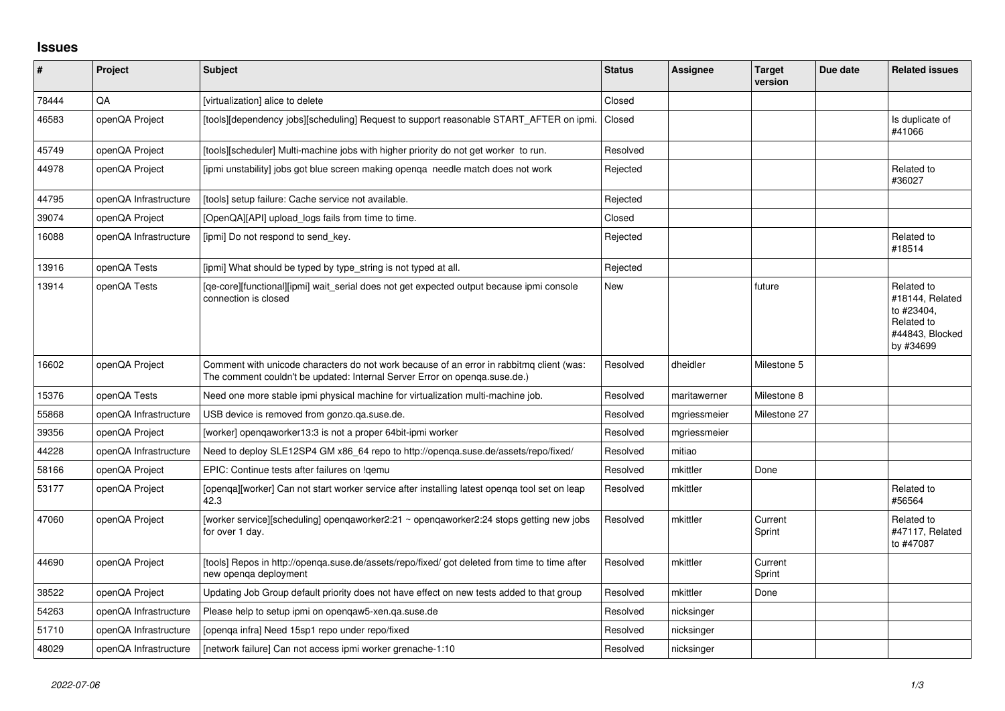## **Issues**

| ∦     | Project               | <b>Subject</b>                                                                                                                                                         | <b>Status</b> | <b>Assignee</b> | <b>Target</b><br>version | Due date | <b>Related issues</b>                                                                     |
|-------|-----------------------|------------------------------------------------------------------------------------------------------------------------------------------------------------------------|---------------|-----------------|--------------------------|----------|-------------------------------------------------------------------------------------------|
| 78444 | QA                    | [virtualization] alice to delete                                                                                                                                       | Closed        |                 |                          |          |                                                                                           |
| 46583 | openQA Project        | [tools][dependency jobs][scheduling] Request to support reasonable START_AFTER on ipmi.                                                                                | Closed        |                 |                          |          | Is duplicate of<br>#41066                                                                 |
| 45749 | openQA Project        | [tools][scheduler] Multi-machine jobs with higher priority do not get worker to run.                                                                                   | Resolved      |                 |                          |          |                                                                                           |
| 44978 | openQA Project        | [ipmi unstability] jobs got blue screen making openga needle match does not work                                                                                       | Rejected      |                 |                          |          | Related to<br>#36027                                                                      |
| 44795 | openQA Infrastructure | [tools] setup failure: Cache service not available.                                                                                                                    | Rejected      |                 |                          |          |                                                                                           |
| 39074 | openQA Project        | [OpenQA][API] upload_logs fails from time to time.                                                                                                                     | Closed        |                 |                          |          |                                                                                           |
| 16088 | openQA Infrastructure | [ipmi] Do not respond to send_key.                                                                                                                                     | Rejected      |                 |                          |          | Related to<br>#18514                                                                      |
| 13916 | openQA Tests          | [ipmi] What should be typed by type_string is not typed at all.                                                                                                        | Rejected      |                 |                          |          |                                                                                           |
| 13914 | openQA Tests          | [qe-core][functional][ipmi] wait_serial does not get expected output because ipmi console<br>connection is closed                                                      | <b>New</b>    |                 | future                   |          | Related to<br>#18144, Related<br>to #23404,<br>Related to<br>#44843, Blocked<br>by #34699 |
| 16602 | openQA Project        | Comment with unicode characters do not work because of an error in rabbitmq client (was:<br>The comment couldn't be updated: Internal Server Error on openga.suse.de.) | Resolved      | dheidler        | Milestone 5              |          |                                                                                           |
| 15376 | openQA Tests          | Need one more stable ipmi physical machine for virtualization multi-machine job.                                                                                       | Resolved      | maritawerner    | Milestone 8              |          |                                                                                           |
| 55868 | openQA Infrastructure | USB device is removed from gonzo.ga.suse.de.                                                                                                                           | Resolved      | mgriessmeier    | Milestone 27             |          |                                                                                           |
| 39356 | openQA Project        | [worker] opengaworker13:3 is not a proper 64bit-ipmi worker                                                                                                            | Resolved      | mgriessmeier    |                          |          |                                                                                           |
| 44228 | openQA Infrastructure | Need to deploy SLE12SP4 GM x86 64 repo to http://openga.suse.de/assets/repo/fixed/                                                                                     | Resolved      | mitiao          |                          |          |                                                                                           |
| 58166 | openQA Project        | EPIC: Continue tests after failures on !gemu                                                                                                                           | Resolved      | mkittler        | Done                     |          |                                                                                           |
| 53177 | openQA Project        | [openqa][worker] Can not start worker service after installing latest openqa tool set on leap<br>42.3                                                                  | Resolved      | mkittler        |                          |          | Related to<br>#56564                                                                      |
| 47060 | openQA Project        | [worker service][scheduling] openqaworker2:21 ~ openqaworker2:24 stops getting new jobs<br>for over 1 day.                                                             | Resolved      | mkittler        | Current<br>Sprint        |          | Related to<br>#47117, Related<br>to #47087                                                |
| 44690 | openQA Project        | [tools] Repos in http://openqa.suse.de/assets/repo/fixed/ got deleted from time to time after<br>new openga deployment                                                 | Resolved      | mkittler        | Current<br>Sprint        |          |                                                                                           |
| 38522 | openQA Project        | Updating Job Group default priority does not have effect on new tests added to that group                                                                              | Resolved      | mkittler        | Done                     |          |                                                                                           |
| 54263 | openQA Infrastructure | Please help to setup ipmi on openqaw5-xen.qa.suse.de                                                                                                                   | Resolved      | nicksinger      |                          |          |                                                                                           |
| 51710 | openQA Infrastructure | Jopenga infra] Need 15sp1 repo under repo/fixed                                                                                                                        | Resolved      | nicksinger      |                          |          |                                                                                           |
| 48029 | openQA Infrastructure | Inetwork failure] Can not access ipmi worker grenache-1:10                                                                                                             | Resolved      | nicksinger      |                          |          |                                                                                           |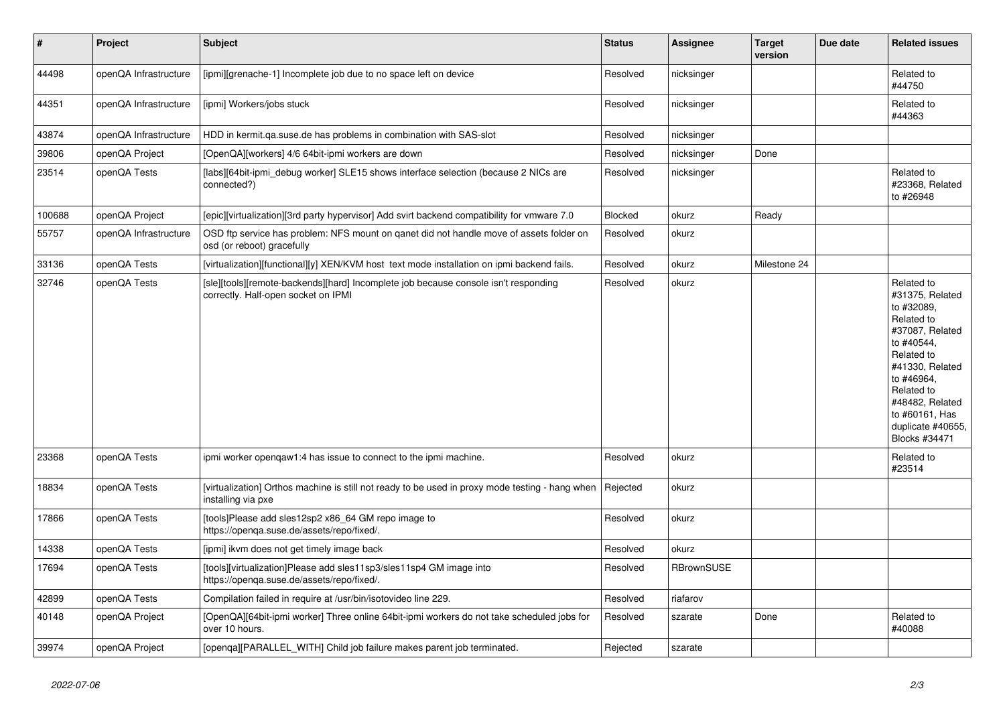| $\vert$ # | Project               | <b>Subject</b>                                                                                                             | <b>Status</b>  | <b>Assignee</b> | <b>Target</b><br>version | Due date | <b>Related issues</b>                                                                                                                                                                                                              |
|-----------|-----------------------|----------------------------------------------------------------------------------------------------------------------------|----------------|-----------------|--------------------------|----------|------------------------------------------------------------------------------------------------------------------------------------------------------------------------------------------------------------------------------------|
| 44498     | openQA Infrastructure | [ipmi][grenache-1] Incomplete job due to no space left on device                                                           | Resolved       | nicksinger      |                          |          | Related to<br>#44750                                                                                                                                                                                                               |
| 44351     | openQA Infrastructure | [ipmi] Workers/jobs stuck                                                                                                  | Resolved       | nicksinger      |                          |          | Related to<br>#44363                                                                                                                                                                                                               |
| 43874     | openQA Infrastructure | HDD in kermit.ga.suse.de has problems in combination with SAS-slot                                                         | Resolved       | nicksinger      |                          |          |                                                                                                                                                                                                                                    |
| 39806     | openQA Project        | [OpenQA][workers] 4/6 64bit-ipmi workers are down                                                                          | Resolved       | nicksinger      | Done                     |          |                                                                                                                                                                                                                                    |
| 23514     | openQA Tests          | [labs][64bit-ipmi_debug worker] SLE15 shows interface selection (because 2 NICs are<br>connected?)                         | Resolved       | nicksinger      |                          |          | Related to<br>#23368, Related<br>to #26948                                                                                                                                                                                         |
| 100688    | openQA Project        | [epic][virtualization][3rd party hypervisor] Add svirt backend compatibility for vmware 7.0                                | <b>Blocked</b> | okurz           | Ready                    |          |                                                                                                                                                                                                                                    |
| 55757     | openQA Infrastructure | OSD ftp service has problem: NFS mount on ganet did not handle move of assets folder on<br>osd (or reboot) gracefully      | Resolved       | okurz           |                          |          |                                                                                                                                                                                                                                    |
| 33136     | openQA Tests          | [virtualization][functional][y] XEN/KVM host text mode installation on ipmi backend fails.                                 | Resolved       | okurz           | Milestone 24             |          |                                                                                                                                                                                                                                    |
| 32746     | openQA Tests          | [sle][tools][remote-backends][hard] Incomplete job because console isn't responding<br>correctly. Half-open socket on IPMI | Resolved       | okurz           |                          |          | Related to<br>#31375, Related<br>to #32089.<br>Related to<br>#37087, Related<br>to #40544,<br>Related to<br>#41330, Related<br>to #46964,<br>Related to<br>#48482, Related<br>to #60161, Has<br>duplicate #40655,<br>Blocks #34471 |
| 23368     | openQA Tests          | ipmi worker opengaw1:4 has issue to connect to the ipmi machine.                                                           | Resolved       | okurz           |                          |          | Related to<br>#23514                                                                                                                                                                                                               |
| 18834     | openQA Tests          | [virtualization] Orthos machine is still not ready to be used in proxy mode testing - hang when<br>installing via pxe      | Rejected       | okurz           |                          |          |                                                                                                                                                                                                                                    |
| 17866     | openQA Tests          | [tools]Please add sles12sp2 x86_64 GM repo image to<br>https://openga.suse.de/assets/repo/fixed/.                          | Resolved       | okurz           |                          |          |                                                                                                                                                                                                                                    |
| 14338     | openQA Tests          | [ipmi] ikvm does not get timely image back                                                                                 | Resolved       | okurz           |                          |          |                                                                                                                                                                                                                                    |
| 17694     | openQA Tests          | [tools][virtualization]Please add sles11sp3/sles11sp4 GM image into<br>https://openqa.suse.de/assets/repo/fixed/.          | Resolved       | RBrownSUSE      |                          |          |                                                                                                                                                                                                                                    |
| 42899     | openQA Tests          | Compilation failed in require at /usr/bin/isotovideo line 229.                                                             | Resolved       | riafarov        |                          |          |                                                                                                                                                                                                                                    |
| 40148     | openQA Project        | [OpenQA][64bit-ipmi worker] Three online 64bit-ipmi workers do not take scheduled jobs for<br>over 10 hours.               | Resolved       | szarate         | Done                     |          | Related to<br>#40088                                                                                                                                                                                                               |
| 39974     | openQA Project        | [openqa][PARALLEL_WITH] Child job failure makes parent job terminated.                                                     | Rejected       | szarate         |                          |          |                                                                                                                                                                                                                                    |